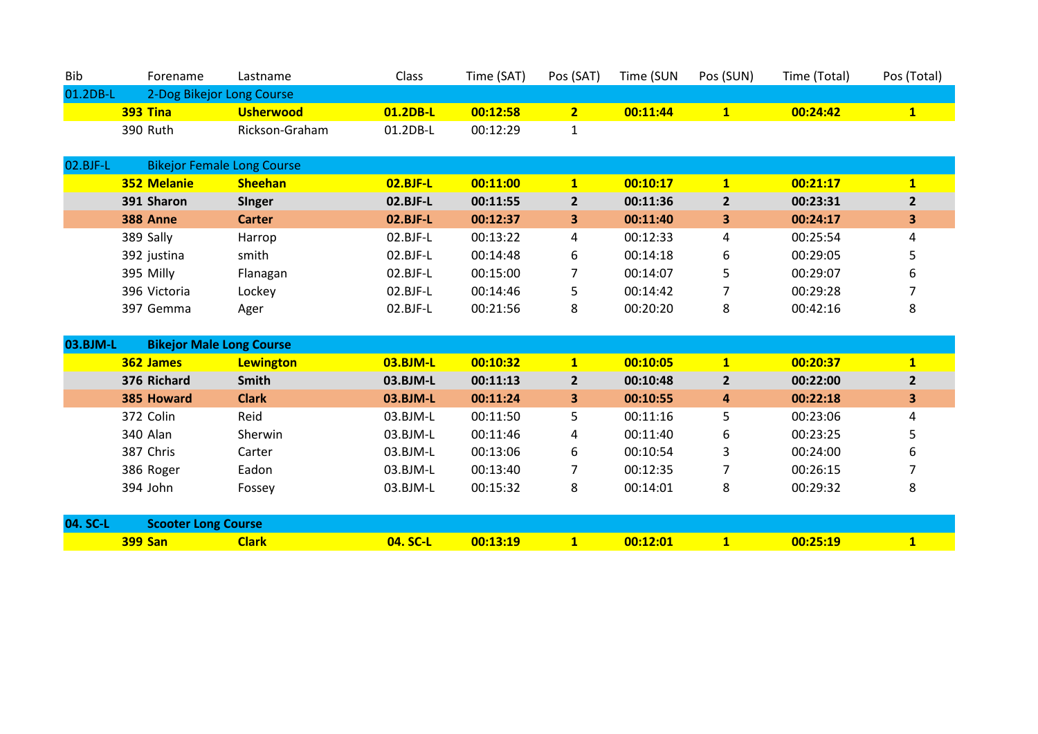| Bib      | Forename                  | Lastname         | <b>Class</b> | Time (SAT) | Pos (SAT) | Time (SUN | Pos (SUN) | Time (Total) | Pos (Total) |
|----------|---------------------------|------------------|--------------|------------|-----------|-----------|-----------|--------------|-------------|
| 01.2DB-L | 2-Dog Bikejor Long Course |                  |              |            |           |           |           |              |             |
|          | <b>393 Tina</b>           | <b>Usherwood</b> | 01.2DB-L     | 00:12:58   |           | 00:11:44  |           | 00:24:42     |             |
|          | 390 Ruth                  | Rickson-Graham   | 01.2DB-L     | 00:12:29   |           |           |           |              |             |

| 02.BJF-L | <b>Bikejor Female Long Course</b> |                |             |          |   |          |   |          |              |  |
|----------|-----------------------------------|----------------|-------------|----------|---|----------|---|----------|--------------|--|
|          | 352 Melanie                       | <b>Sheehan</b> | $02.B$ JF-L | 00:11:00 |   | 00:10:17 |   | 00:21:17 | $\mathbf{1}$ |  |
|          | 391 Sharon                        | <b>Singer</b>  | $02.BJF-L$  | 00:11:55 |   | 00:11:36 | 2 | 00:23:31 | $\mathbf{z}$ |  |
|          | <b>388 Anne</b>                   | <b>Carter</b>  | $02.BJF-L$  | 00:12:37 | 3 | 00:11:40 | 3 | 00:24:17 | 3            |  |
|          | 389 Sally                         | Harrop         | $02.BJF-L$  | 00:13:22 | 4 | 00:12:33 | 4 | 00:25:54 | 4            |  |
|          | 392 justina                       | smith          | $02.BJF-L$  | 00:14:48 | 6 | 00:14:18 | 6 | 00:29:05 |              |  |
|          | 395 Milly                         | Flanagan       | $02.BJF-L$  | 00:15:00 |   | 00:14:07 |   | 00:29:07 | 6            |  |
|          | 396 Victoria                      | Lockey         | $02.BJF-L$  | 00:14:46 |   | 00:14:42 |   | 00:29:28 |              |  |
|          | 397 Gemma                         | Ager           | 02.BJF-L    | 00:21:56 | 8 | 00:20:20 | 8 | 00:42:16 | 8            |  |

| 03.BJM-L | <b>Bikejor Male Long Course</b> |                  |            |          |              |          |                |          |                |
|----------|---------------------------------|------------------|------------|----------|--------------|----------|----------------|----------|----------------|
|          | 362 James                       | <b>Lewington</b> | $03.BJM-L$ | 00:10:32 | $\mathbf{1}$ | 00:10:05 | $\mathbf{1}$   | 00:20:37 | $\overline{1}$ |
|          | 376 Richard                     | <b>Smith</b>     | 03.BJM-L   | 00:11:13 | $\mathbf{2}$ | 00:10:48 | $\overline{2}$ | 00:22:00 | $\overline{2}$ |
|          | 385 Howard                      | <b>Clark</b>     | $03.BJM-L$ | 00:11:24 | 3            | 00:10:55 | 4              | 00:22:18 | 3              |
|          | 372 Colin                       | Reid             | 03.BJM-L   | 00:11:50 | 5.           | 00:11:16 | 5              | 00:23:06 | 4              |
|          | 340 Alan                        | <b>Sherwin</b>   | 03.BJM-L   | 00:11:46 | 4            | 00:11:40 | 6              | 00:23:25 | 5              |
|          | 387 Chris                       | Carter           | 03.BJM-L   | 00:13:06 | 6            | 00:10:54 | 3              | 00:24:00 | 6              |
|          | 386 Roger                       | Eadon            | 03.BJM-L   | 00:13:40 |              | 00:12:35 |                | 00:26:15 |                |
|          | 394 John                        | Fossey           | 03.BJM-L   | 00:15:32 | 8            | 00:14:01 | 8              | 00:29:32 | 8              |
|          |                                 |                  |            |          |              |          |                |          |                |
| 04. SC-L | <b>Scooter Long Course</b>      |                  |            |          |              |          |                |          |                |
|          | <b>399 San</b>                  | <b>Clark</b>     | 04. SC-L   | 00:13:19 | $\mathbf{1}$ | 00:12:01 | $\mathbf{1}$   | 00:25:19 | $\mathbf{1}$   |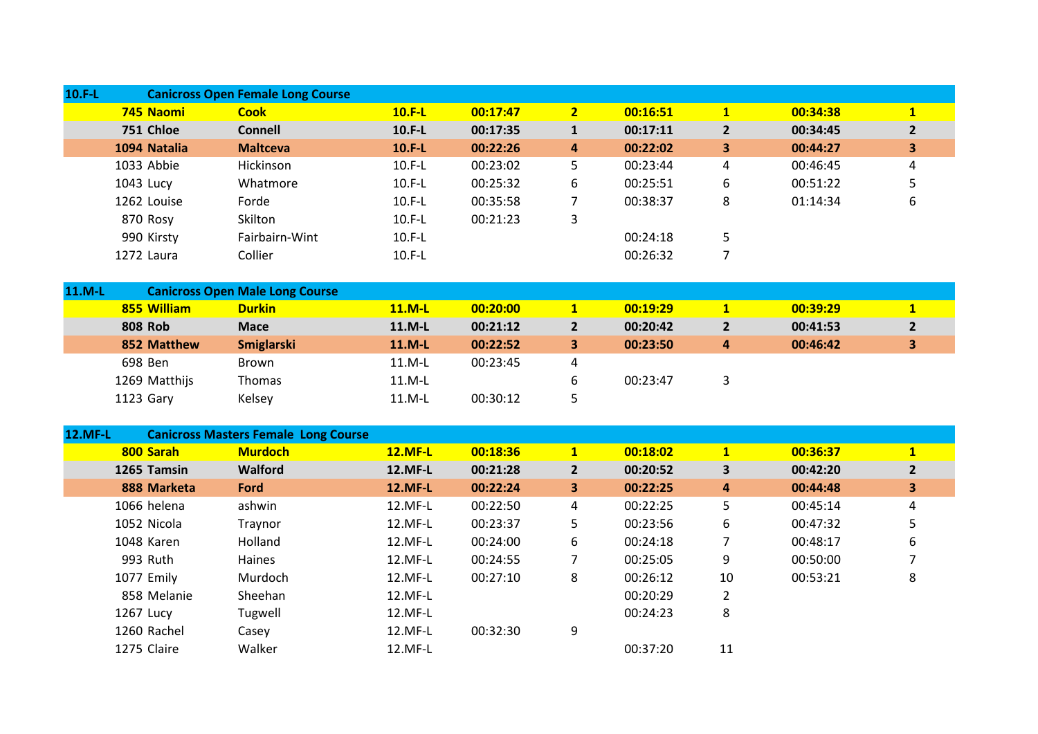| $10.F-L$       |           |                | <b>Canicross Open Female Long Course</b>    |                |          |                         |          |                         |          |                |
|----------------|-----------|----------------|---------------------------------------------|----------------|----------|-------------------------|----------|-------------------------|----------|----------------|
|                |           | 745 Naomi      | <b>Cook</b>                                 | $10.F-L$       | 00:17:47 | 2 <sub>2</sub>          | 00:16:51 | $\mathbf{1}$            | 00:34:38 | $\mathbf{1}$   |
|                |           | 751 Chloe      | <b>Connell</b>                              | 10.F-L         | 00:17:35 | $\mathbf{1}$            | 00:17:11 | $\overline{2}$          | 00:34:45 | $\overline{2}$ |
|                |           | 1094 Natalia   | <b>Maltceva</b>                             | $10.F-L$       | 00:22:26 | $\overline{\mathbf{4}}$ | 00:22:02 | 3                       | 00:44:27 | 3              |
|                |           | 1033 Abbie     | Hickinson                                   | $10.F-L$       | 00:23:02 | 5                       | 00:23:44 | $\overline{\mathbf{4}}$ | 00:46:45 | 4              |
|                | 1043 Lucy |                | Whatmore                                    | $10.F-L$       | 00:25:32 | 6                       | 00:25:51 | 6                       | 00:51:22 | 5              |
|                |           | 1262 Louise    | Forde                                       | $10.F-L$       | 00:35:58 | $\overline{7}$          | 00:38:37 | 8                       | 01:14:34 | 6              |
|                |           | 870 Rosy       | Skilton                                     | $10.F-L$       | 00:21:23 | 3                       |          |                         |          |                |
|                |           | 990 Kirsty     | Fairbairn-Wint                              | $10.F-L$       |          |                         | 00:24:18 | 5                       |          |                |
|                |           | 1272 Laura     | Collier                                     | $10.F-L$       |          |                         | 00:26:32 | $\overline{7}$          |          |                |
|                |           |                |                                             |                |          |                         |          |                         |          |                |
| 11.M-L         |           |                | <b>Canicross Open Male Long Course</b>      |                |          |                         |          |                         |          |                |
|                |           | 855 William    | <b>Durkin</b>                               | 11.M-L         | 00:20:00 | 1                       | 00:19:29 | $\mathbf{1}$            | 00:39:29 | 1              |
|                |           | <b>808 Rob</b> | <b>Mace</b>                                 | 11.M-L         | 00:21:12 | $\overline{2}$          | 00:20:42 | $\overline{2}$          | 00:41:53 | $\overline{2}$ |
|                |           | 852 Matthew    | <b>Smiglarski</b>                           | 11.M-L         | 00:22:52 | $\overline{\mathbf{3}}$ | 00:23:50 | 4                       | 00:46:42 | 3              |
|                |           | 698 Ben        | Brown                                       | 11.M-L         | 00:23:45 | 4                       |          |                         |          |                |
|                |           | 1269 Matthijs  | Thomas                                      | 11.M-L         |          | 6                       | 00:23:47 | 3                       |          |                |
|                |           | 1123 Gary      | Kelsey                                      | 11.M-L         | 00:30:12 | 5                       |          |                         |          |                |
|                |           |                |                                             |                |          |                         |          |                         |          |                |
| <b>12.MF-L</b> |           |                | <b>Canicross Masters Female Long Course</b> |                |          |                         |          |                         |          |                |
|                |           | 800 Sarah      | <b>Murdoch</b>                              | <b>12.MF-L</b> | 00:18:36 | $\mathbf{1}$            | 00:18:02 | $\mathbf{1}$            | 00:36:37 | $\mathbf{1}$   |
|                |           | 1265 Tamsin    | Walford                                     | <b>12.MF-L</b> | 00:21:28 | $2^{\circ}$             | 00:20:52 | $\overline{\mathbf{3}}$ | 00:42:20 | $\overline{2}$ |
|                |           | 888 Marketa    | Ford                                        | <b>12.MF-L</b> | 00:22:24 | $\overline{\mathbf{3}}$ | 00:22:25 | 4                       | 00:44:48 | 3              |
|                |           | 1066 helena    | ashwin                                      | 12.MF-L        | 00:22:50 | $\overline{4}$          | 00:22:25 | 5                       | 00:45:14 | 4              |
|                |           | 1052 Nicola    | Traynor                                     | 12.MF-L        | 00:23:37 | 5                       | 00:23:56 | 6                       | 00:47:32 | 5              |
|                |           | 1048 Karen     | Holland                                     | 12.MF-L        | 00:24:00 | 6                       | 00:24:18 | 7                       | 00:48:17 | 6              |
|                |           | 993 Ruth       | Haines                                      | 12.MF-L        | 00:24:55 | 7                       | 00:25:05 | 9                       | 00:50:00 | 7              |
|                |           | 1077 Emily     | Murdoch                                     | 12.MF-L        | 00:27:10 | 8                       | 00:26:12 | 10                      | 00:53:21 | 8              |
|                |           | 858 Melanie    | Sheehan                                     | 12.MF-L        |          |                         | 00:20:29 | $\overline{2}$          |          |                |
|                | 1267 Lucy |                | Tugwell                                     | 12.MF-L        |          |                         | 00:24:23 | 8                       |          |                |
|                |           | 1260 Rachel    | Casey                                       | 12.MF-L        | 00:32:30 | 9                       |          |                         |          |                |
|                |           | 1275 Claire    | Walker                                      | 12.MF-L        |          |                         | 00:37:20 | 11                      |          |                |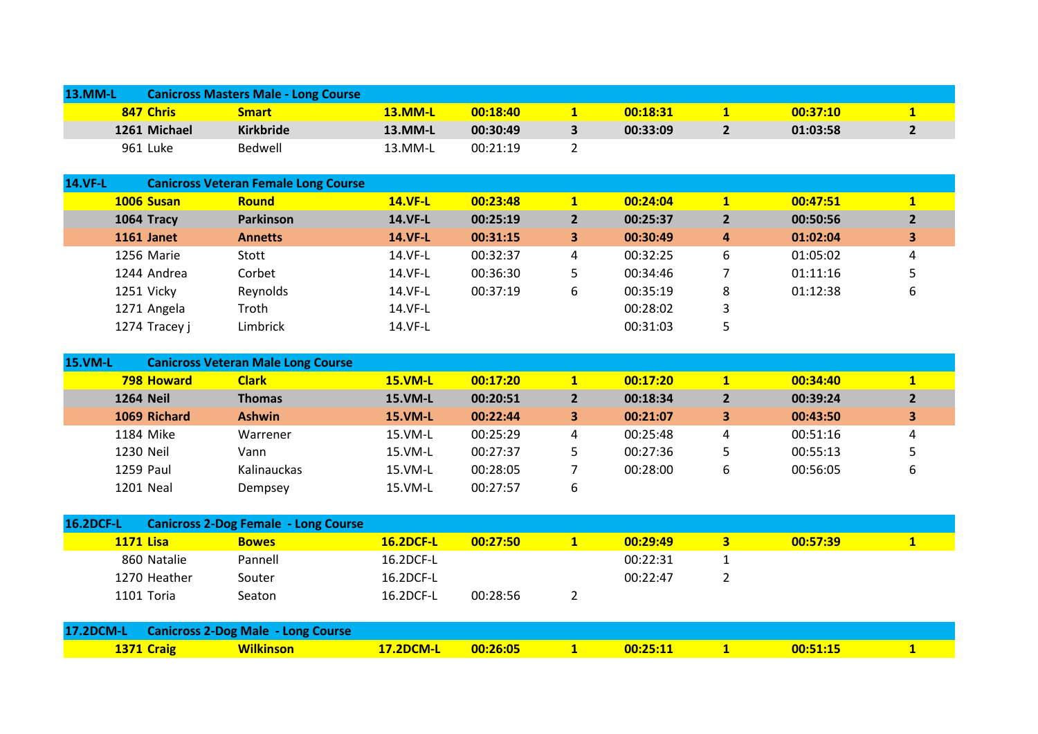| <b>13.MM-L</b> |              | <b>Canicross Masters Male - Long Course</b> |                |          |  |          |  |          |  |  |  |
|----------------|--------------|---------------------------------------------|----------------|----------|--|----------|--|----------|--|--|--|
|                | 847 Chris    | <b>Smart</b>                                | <b>13.MM-L</b> | 00:18:40 |  | 00:18:31 |  | 00:37:10 |  |  |  |
|                | 1261 Michael | <b>Kirkbride</b>                            | 13.MM-L        | 00:30:49 |  | 00:33:09 |  | 01:03:58 |  |  |  |
|                | 961 Luke     | Bedwell                                     | 13.MM-L        | 00:21:19 |  |          |  |          |  |  |  |

| <b>14.VF-L</b> |               | <b>Canicross Veteran Female Long Course</b> |                |          |                |          |                |          |                         |
|----------------|---------------|---------------------------------------------|----------------|----------|----------------|----------|----------------|----------|-------------------------|
|                | 1006 Susan    | <b>Round</b>                                | <b>14.VF-L</b> | 00:23:48 |                | 00:24:04 | $\mathbf{1}$   | 00:47:51 |                         |
|                | 1064 Tracy    | <b>Parkinson</b>                            | <b>14.VF-L</b> | 00:25:19 | $\overline{2}$ | 00:25:37 | $\overline{2}$ | 00:50:56 | $\overline{\mathbf{z}}$ |
|                | 1161 Janet    | <b>Annetts</b>                              | <b>14.VF-L</b> | 00:31:15 | 3              | 00:30:49 | $\overline{a}$ | 01:02:04 | 3                       |
|                | 1256 Marie    | Stott                                       | 14.VF-L        | 00:32:37 | 4              | 00:32:25 | 6              | 01:05:02 | 4                       |
|                | 1244 Andrea   | Corbet                                      | 14.VF-L        | 00:36:30 |                | 00:34:46 |                | 01:11:16 |                         |
|                | 1251 Vicky    | Reynolds                                    | 14.VF-L        | 00:37:19 | 6              | 00:35:19 | 8              | 01:12:38 |                         |
|                | 1271 Angela   | Troth                                       | 14.VF-L        |          |                | 00:28:02 | 3              |          |                         |
|                | 1274 Tracey j | Limbrick                                    | 14.VF-L        |          |                | 00:31:03 |                |          |                         |

| <b>15.VM-L</b> | <b>Canicross Veteran Male Long Course</b> |                    |                |          |   |          |                |          |              |
|----------------|-------------------------------------------|--------------------|----------------|----------|---|----------|----------------|----------|--------------|
|                | <b>798 Howard</b>                         | <b>Clark</b>       | <b>15.VM-L</b> | 00:17:20 |   | 00:17:20 |                | 00:34:40 | $\mathbf{1}$ |
|                | <b>1264 Neil</b>                          | <b>Thomas</b>      | <b>15.VM-L</b> | 00:20:51 |   | 00:18:34 | $\overline{2}$ | 00:39:24 |              |
|                | 1069 Richard                              | <b>Ashwin</b>      | <b>15.VM-L</b> | 00:22:44 |   | 00:21:07 | 3              | 00:43:50 | 3            |
|                | 1184 Mike                                 | Warrener           | $15.VM-L$      | 00:25:29 |   | 00:25:48 | 4              | 00:51:16 | 4            |
|                | 1230 Neil                                 | Vann               | 15.VM-L        | 00:27:37 |   | 00:27:36 |                | 00:55:13 |              |
|                | <b>1259 Paul</b>                          | <b>Kalinauckas</b> | $15.VM-L$      | 00:28:05 |   | 00:28:00 | 6              | 00:56:05 | 6            |
|                | 1201 Neal                                 | Dempsey            | 15.VM-L        | 00:27:57 | b |          |                |          |              |

| <b>16.2DCF-L</b> |                  | <b>Canicross 2-Dog Female - Long Course</b> |                  |          |          |          |  |
|------------------|------------------|---------------------------------------------|------------------|----------|----------|----------|--|
|                  | <b>1171 Lisa</b> | <b>Bowes</b>                                | <b>16.2DCF-L</b> | 00:27:50 | 00:29:49 | 00:57:39 |  |
|                  | 860 Natalie      | Pannell                                     | 16.2DCF-L        |          | 00:22:31 |          |  |
|                  | 1270 Heather     | Souter                                      | 16.2DCF-L        |          | 00:22:47 |          |  |
|                  | 1101 Toria       | Seaton                                      | 16.2DCF-L        | 00:28:56 |          |          |  |

|                   | 17.2DCM-L Canicross 2-Dog Male - Long Course |                       |  |                                        |          |  |
|-------------------|----------------------------------------------|-----------------------|--|----------------------------------------|----------|--|
| <b>1371 Craig</b> | <b>Wilkinson</b>                             | $17.2$ DCM-L 00:26:05 |  | $\textcolor{blue}{\textbf{-00:25:11}}$ | 00:51:15 |  |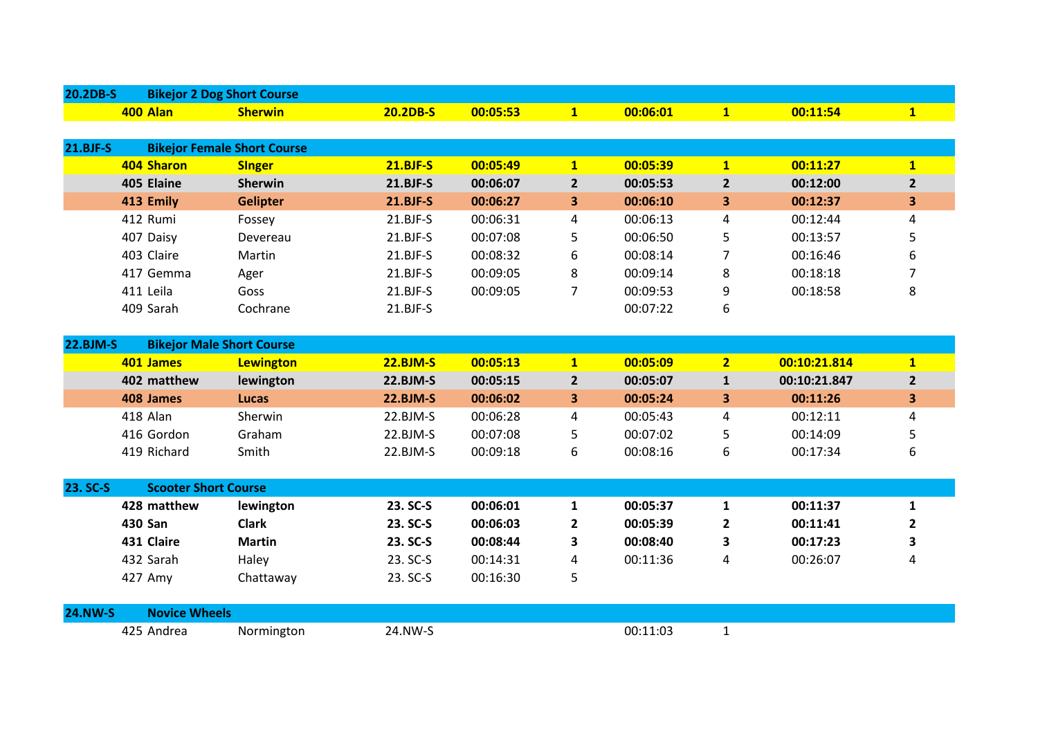| 20.2DB-S        | <b>Bikejor 2 Dog Short Course</b> |                                    |                 |          |                |          |                |              |                |
|-----------------|-----------------------------------|------------------------------------|-----------------|----------|----------------|----------|----------------|--------------|----------------|
|                 | 400 Alan                          | <b>Sherwin</b>                     | 20.2DB-S        | 00:05:53 | $\mathbf{1}$   | 00:06:01 | $\mathbf{1}$   | 00:11:54     | $\mathbf{1}$   |
|                 |                                   |                                    |                 |          |                |          |                |              |                |
| $21.BJF-S$      |                                   | <b>Bikejor Female Short Course</b> |                 |          |                |          |                |              |                |
|                 | 404 Sharon                        | <b>Singer</b>                      | <b>21.BJF-S</b> | 00:05:49 | $\mathbf{1}$   | 00:05:39 | $\mathbf{1}$   | 00:11:27     | 1              |
|                 | 405 Elaine                        | <b>Sherwin</b>                     | <b>21.BJF-S</b> | 00:06:07 | $2^{\circ}$    | 00:05:53 | $\overline{2}$ | 00:12:00     | $\overline{2}$ |
|                 | 413 Emily                         | <b>Gelipter</b>                    | <b>21.BJF-S</b> | 00:06:27 | 3              | 00:06:10 | 3              | 00:12:37     | 3              |
|                 | 412 Rumi                          | Fossey                             | 21.BJF-S        | 00:06:31 | 4              | 00:06:13 | 4              | 00:12:44     | 4              |
|                 | 407 Daisy                         | Devereau                           | 21.BJF-S        | 00:07:08 | 5              | 00:06:50 | 5              | 00:13:57     | 5              |
|                 | 403 Claire                        | Martin                             | 21.BJF-S        | 00:08:32 | 6              | 00:08:14 | $\overline{7}$ | 00:16:46     | 6              |
|                 | 417 Gemma                         | Ager                               | 21.BJF-S        | 00:09:05 | 8              | 00:09:14 | 8              | 00:18:18     | 7              |
|                 | 411 Leila                         | Goss                               | 21.BJF-S        | 00:09:05 | 7              | 00:09:53 | 9              | 00:18:58     | 8              |
|                 | 409 Sarah                         | Cochrane                           | 21.BJF-S        |          |                | 00:07:22 | 6              |              |                |
|                 |                                   |                                    |                 |          |                |          |                |              |                |
| <b>22.BJM-S</b> | <b>Bikejor Male Short Course</b>  |                                    |                 |          |                |          |                |              |                |
|                 | 401 James                         | <b>Lewington</b>                   | <b>22.BJM-S</b> | 00:05:13 | $\mathbf{1}$   | 00:05:09 | $\overline{2}$ | 00:10:21.814 | $\mathbf{1}$   |
|                 | 402 matthew                       | lewington                          | <b>22.BJM-S</b> | 00:05:15 | 2 <sup>1</sup> | 00:05:07 | $\mathbf{1}$   | 00:10:21.847 | $\overline{2}$ |
|                 | 408 James                         | <b>Lucas</b>                       | <b>22.BJM-S</b> | 00:06:02 | 3              | 00:05:24 | 3              | 00:11:26     | 3              |
|                 | 418 Alan                          | Sherwin                            | 22.BJM-S        | 00:06:28 | 4              | 00:05:43 | 4              | 00:12:11     | 4              |
|                 | 416 Gordon                        | Graham                             | 22.BJM-S        | 00:07:08 | 5              | 00:07:02 | 5              | 00:14:09     | 5              |
|                 | 419 Richard                       | Smith                              | 22.BJM-S        | 00:09:18 | 6              | 00:08:16 | 6              | 00:17:34     | 6              |
|                 |                                   |                                    |                 |          |                |          |                |              |                |
| 23. SC-S        | <b>Scooter Short Course</b>       |                                    |                 |          |                |          |                |              |                |
|                 | 428 matthew                       | lewington                          | 23. SC-S        | 00:06:01 | $\mathbf{1}$   | 00:05:37 | 1              | 00:11:37     | $\mathbf{1}$   |
|                 | <b>430 San</b>                    | <b>Clark</b>                       | 23. SC-S        | 00:06:03 | $\overline{2}$ | 00:05:39 | $\mathbf{2}$   | 00:11:41     | $\overline{2}$ |
|                 | 431 Claire                        | <b>Martin</b>                      | 23. SC-S        | 00:08:44 | 3              | 00:08:40 | 3              | 00:17:23     | 3              |
|                 | 432 Sarah                         | Haley                              | 23. SC-S        | 00:14:31 | 4              | 00:11:36 | 4              | 00:26:07     | 4              |
|                 | 427 Amy                           | Chattaway                          | 23. SC-S        | 00:16:30 | 5              |          |                |              |                |
|                 |                                   |                                    |                 |          |                |          |                |              |                |
| <b>24.NW-S</b>  | <b>Novice Wheels</b>              |                                    |                 |          |                |          |                |              |                |
|                 | 425 Andrea                        | Normington                         | 24.NW-S         |          |                | 00:11:03 | $\mathbf{1}$   |              |                |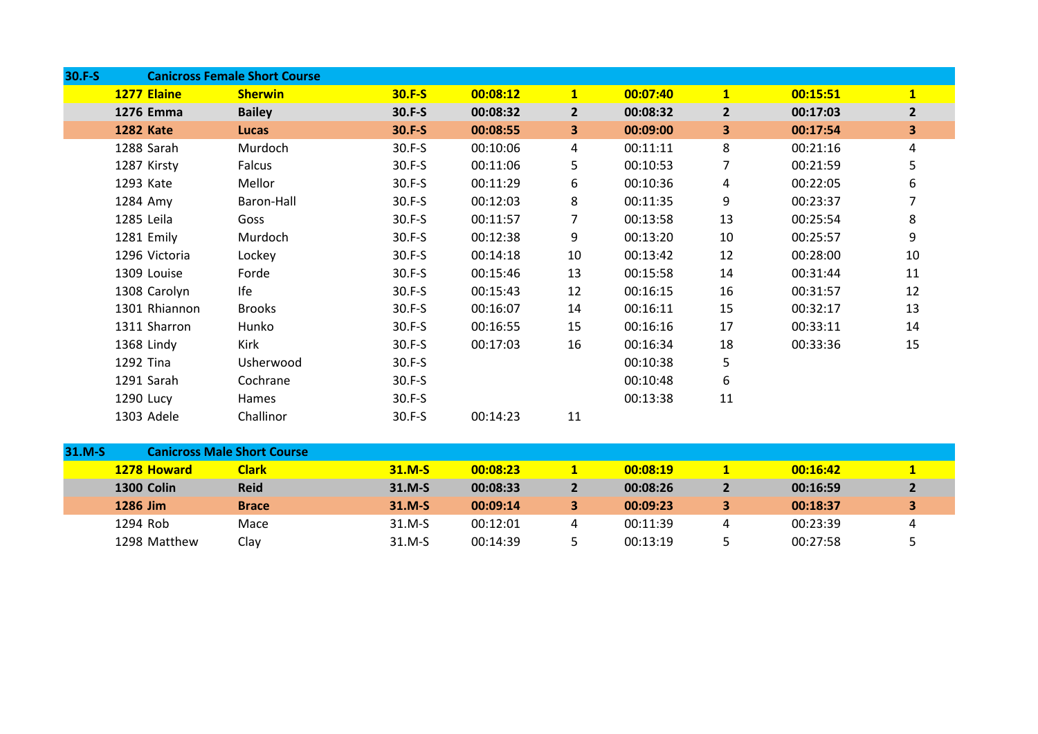| 30.F-S |                  | <b>Canicross Female Short Course</b> |          |          |                         |          |                |          |                         |
|--------|------------------|--------------------------------------|----------|----------|-------------------------|----------|----------------|----------|-------------------------|
|        | 1277 Elaine      | <b>Sherwin</b>                       | $30.F-S$ | 00:08:12 | 1                       | 00:07:40 | $\mathbf{1}$   | 00:15:51 | $\overline{1}$          |
|        | 1276 Emma        | <b>Bailey</b>                        | 30.F-S   | 00:08:32 | $\overline{2}$          | 00:08:32 | $\overline{2}$ | 00:17:03 | $\overline{2}$          |
|        | <b>1282 Kate</b> | <b>Lucas</b>                         | $30.F-S$ | 00:08:55 | $\overline{\mathbf{3}}$ | 00:09:00 | 3              | 00:17:54 | $\overline{\mathbf{3}}$ |
|        | 1288 Sarah       | Murdoch                              | 30.F-S   | 00:10:06 | 4                       | 00:11:11 | 8              | 00:21:16 | 4                       |
|        | 1287 Kirsty      | Falcus                               | 30.F-S   | 00:11:06 | 5                       | 00:10:53 | 7              | 00:21:59 | 5                       |
|        | 1293 Kate        | Mellor                               | 30.F-S   | 00:11:29 | 6                       | 00:10:36 | 4              | 00:22:05 | 6                       |
|        | 1284 Amy         | Baron-Hall                           | $30.F-S$ | 00:12:03 | 8                       | 00:11:35 | 9              | 00:23:37 |                         |
|        | 1285 Leila       | Goss                                 | 30.F-S   | 00:11:57 | $\overline{7}$          | 00:13:58 | 13             | 00:25:54 | 8                       |
|        | 1281 Emily       | Murdoch                              | 30.F-S   | 00:12:38 | 9                       | 00:13:20 | 10             | 00:25:57 | 9                       |
|        | 1296 Victoria    | Lockey                               | $30.F-S$ | 00:14:18 | 10                      | 00:13:42 | 12             | 00:28:00 | 10                      |
|        | 1309 Louise      | Forde                                | 30.F-S   | 00:15:46 | 13                      | 00:15:58 | 14             | 00:31:44 | 11                      |
|        | 1308 Carolyn     | Ife                                  | 30.F-S   | 00:15:43 | 12                      | 00:16:15 | 16             | 00:31:57 | 12                      |
|        | 1301 Rhiannon    | <b>Brooks</b>                        | 30.F-S   | 00:16:07 | 14                      | 00:16:11 | 15             | 00:32:17 | 13                      |
|        | 1311 Sharron     | Hunko                                | 30.F-S   | 00:16:55 | 15                      | 00:16:16 | 17             | 00:33:11 | 14                      |
|        | 1368 Lindy       | Kirk                                 | $30.F-S$ | 00:17:03 | 16                      | 00:16:34 | 18             | 00:33:36 | 15                      |
|        | 1292 Tina        | Usherwood                            | $30.F-S$ |          |                         | 00:10:38 | 5              |          |                         |
|        | 1291 Sarah       | Cochrane                             | $30.F-S$ |          |                         | 00:10:48 | 6              |          |                         |
|        | 1290 Lucy        | Hames                                | $30.F-S$ |          |                         | 00:13:38 | 11             |          |                         |
|        | 1303 Adele       | Challinor                            | 30.F-S   | 00:14:23 | 11                      |          |                |          |                         |

| 31.M-S |                    | <b>Canicross Male Short Course</b> |          |          |  |          |    |          |   |  |  |  |  |
|--------|--------------------|------------------------------------|----------|----------|--|----------|----|----------|---|--|--|--|--|
|        | <b>1278 Howard</b> | <b>Clark</b>                       | $31.M-S$ | 00:08:23 |  | 00:08:19 |    | 00:16:42 |   |  |  |  |  |
|        | <b>1300 Colin</b>  | <b>Reid</b>                        | $31.M-S$ | 00:08:33 |  | 00:08:26 | 2  | 00:16:59 |   |  |  |  |  |
|        | 1286 Jim           | <b>Brace</b>                       | $31.M-S$ | 00:09:14 |  | 00:09:23 | з. | 00:18:37 |   |  |  |  |  |
|        | 1294 Rob           | Mace                               | $31.M-S$ | 00:12:01 |  | 00:11:39 | 4  | 00:23:39 | 4 |  |  |  |  |
|        | 1298 Matthew       | Clav                               | $31.M-S$ | 00:14:39 |  | 00:13:19 |    | 00:27:58 |   |  |  |  |  |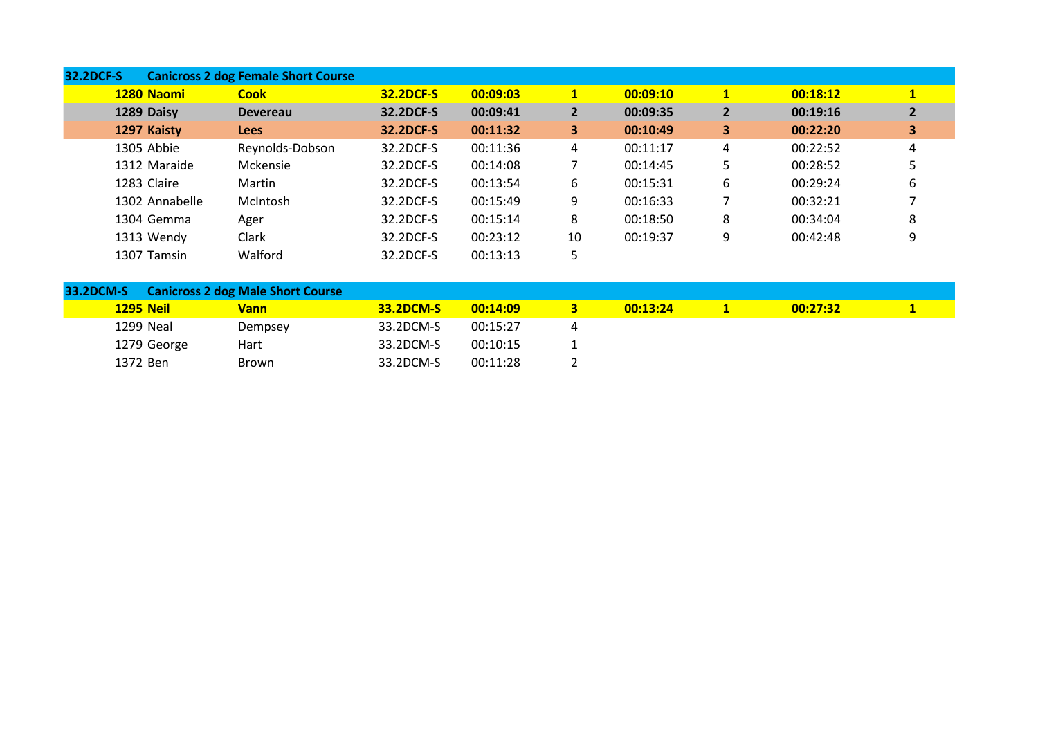| <b>32.2DCF-S</b> |                | <b>Canicross 2 dog Female Short Course</b> |                  |          |                         |          |                         |          |                |
|------------------|----------------|--------------------------------------------|------------------|----------|-------------------------|----------|-------------------------|----------|----------------|
|                  | 1280 Naomi     | <b>Cook</b>                                | <b>32.2DCF-S</b> | 00:09:03 | $\mathbf{1}$            | 00:09:10 | $\mathbf{1}$            | 00:18:12 | $\mathbf{1}$   |
|                  | 1289 Daisy     | <b>Devereau</b>                            | 32.2DCF-S        | 00:09:41 | $\overline{2}$          | 00:09:35 | $\overline{2}$          | 00:19:16 | $\overline{2}$ |
|                  | 1297 Kaisty    | <b>Lees</b>                                | 32.2DCF-S        | 00:11:32 | $\overline{\mathbf{3}}$ | 00:10:49 | $\overline{\mathbf{3}}$ | 00:22:20 | 3              |
|                  | 1305 Abbie     | Reynolds-Dobson                            | 32.2DCF-S        | 00:11:36 | 4                       | 00:11:17 | 4                       | 00:22:52 | 4              |
|                  | 1312 Maraide   | Mckensie                                   | 32.2DCF-S        | 00:14:08 |                         | 00:14:45 | 5                       | 00:28:52 |                |
|                  | 1283 Claire    | Martin                                     | 32.2DCF-S        | 00:13:54 | 6                       | 00:15:31 | 6                       | 00:29:24 | 6              |
|                  | 1302 Annabelle | McIntosh                                   | 32.2DCF-S        | 00:15:49 | 9                       | 00:16:33 |                         | 00:32:21 |                |
|                  | 1304 Gemma     | Ager                                       | 32.2DCF-S        | 00:15:14 | 8                       | 00:18:50 | 8                       | 00:34:04 | 8              |
|                  | 1313 Wendy     | Clark                                      | 32.2DCF-S        | 00:23:12 | 10                      | 00:19:37 | 9                       | 00:42:48 | 9              |
|                  | 1307 Tamsin    | Walford                                    | 32.2DCF-S        | 00:13:13 | כ                       |          |                         |          |                |

| 33.2DCM-S        | <b>Canicross 2 dog Male Short Course</b> |                  |          |          |          |  |
|------------------|------------------------------------------|------------------|----------|----------|----------|--|
| <b>1295 Neil</b> | <b>Vann</b>                              | <b>33.2DCM-S</b> | 00:14:09 | 00:13:24 | 00:27:32 |  |
| 1299 Neal        | Dempsey                                  | 33.2DCM-S        | 00:15:27 |          |          |  |
| 1279 George      | Hart                                     | 33.2DCM-S        | 00:10:15 |          |          |  |
| 1372 Ben         | Brown                                    | 33.2DCM-S        | 00:11:28 |          |          |  |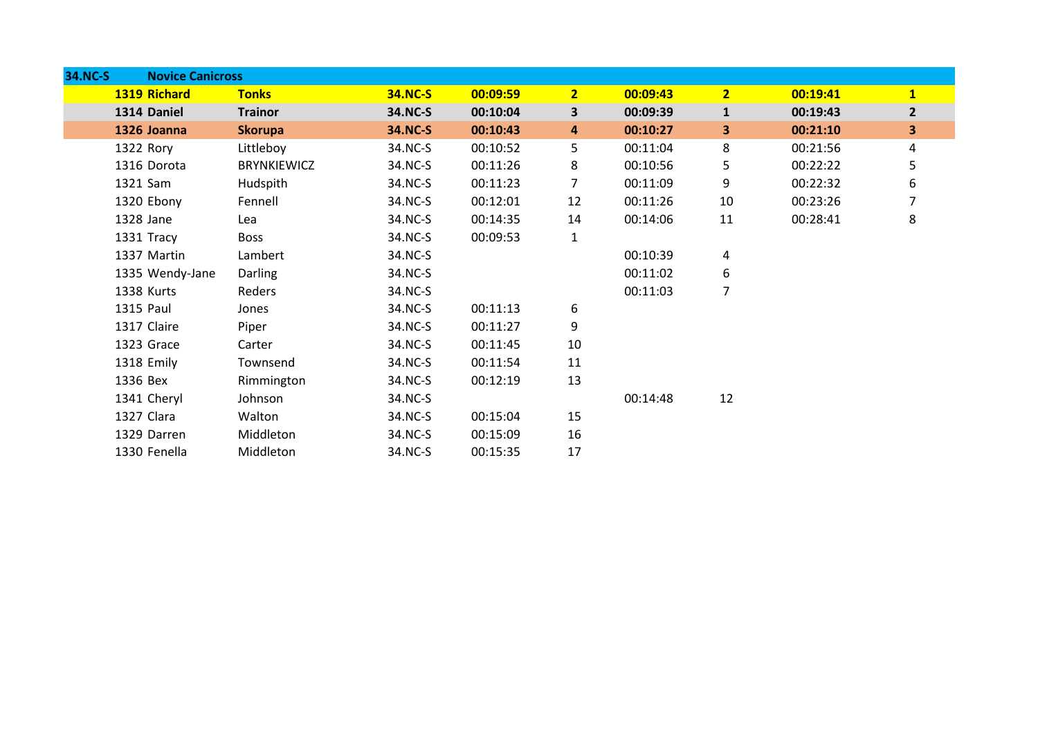| <b>34.NC-S</b> |                   | <b>Novice Canicross</b> |                |          |                         |          |                |          |                         |
|----------------|-------------------|-------------------------|----------------|----------|-------------------------|----------|----------------|----------|-------------------------|
|                | 1319 Richard      | <b>Tonks</b>            | <b>34.NC-S</b> | 00:09:59 | 2 <sub>1</sub>          | 00:09:43 | $\overline{2}$ | 00:19:41 | $\mathbf{1}$            |
|                | 1314 Daniel       | <b>Trainor</b>          | 34.NC-S        | 00:10:04 | $\overline{\mathbf{3}}$ | 00:09:39 | $\mathbf{1}$   | 00:19:43 | $\mathbf{2}$            |
|                | 1326 Joanna       | <b>Skorupa</b>          | <b>34.NC-S</b> | 00:10:43 | 4                       | 00:10:27 | 3              | 00:21:10 | $\overline{\mathbf{3}}$ |
|                | 1322 Rory         | Littleboy               | 34.NC-S        | 00:10:52 | 5                       | 00:11:04 | 8              | 00:21:56 | 4                       |
|                | 1316 Dorota       | <b>BRYNKIEWICZ</b>      | 34.NC-S        | 00:11:26 | 8                       | 00:10:56 | 5              | 00:22:22 | 5                       |
|                | 1321 Sam          | Hudspith                | 34.NC-S        | 00:11:23 | 7                       | 00:11:09 | 9              | 00:22:32 | 6                       |
|                | 1320 Ebony        | Fennell                 | 34.NC-S        | 00:12:01 | 12                      | 00:11:26 | 10             | 00:23:26 |                         |
|                | 1328 Jane         | Lea                     | 34.NC-S        | 00:14:35 | 14                      | 00:14:06 | 11             | 00:28:41 | 8                       |
|                | 1331 Tracy        | <b>Boss</b>             | 34.NC-S        | 00:09:53 | 1                       |          |                |          |                         |
|                | 1337 Martin       | Lambert                 | 34.NC-S        |          |                         | 00:10:39 | 4              |          |                         |
|                | 1335 Wendy-Jane   | Darling                 | 34.NC-S        |          |                         | 00:11:02 | 6              |          |                         |
|                | <b>1338 Kurts</b> | Reders                  | 34.NC-S        |          |                         | 00:11:03 | 7              |          |                         |
|                | 1315 Paul         | Jones                   | 34.NC-S        | 00:11:13 | 6                       |          |                |          |                         |
|                | 1317 Claire       | Piper                   | 34.NC-S        | 00:11:27 | 9                       |          |                |          |                         |
|                | 1323 Grace        | Carter                  | 34.NC-S        | 00:11:45 | 10                      |          |                |          |                         |
|                | 1318 Emily        | Townsend                | 34.NC-S        | 00:11:54 | 11                      |          |                |          |                         |
|                | 1336 Bex          | Rimmington              | 34.NC-S        | 00:12:19 | 13                      |          |                |          |                         |
|                | 1341 Cheryl       | Johnson                 | 34.NC-S        |          |                         | 00:14:48 | 12             |          |                         |
|                | 1327 Clara        | Walton                  | 34.NC-S        | 00:15:04 | 15                      |          |                |          |                         |
|                | 1329 Darren       | Middleton               | 34.NC-S        | 00:15:09 | 16                      |          |                |          |                         |
|                | 1330 Fenella      | Middleton               | 34.NC-S        | 00:15:35 | 17                      |          |                |          |                         |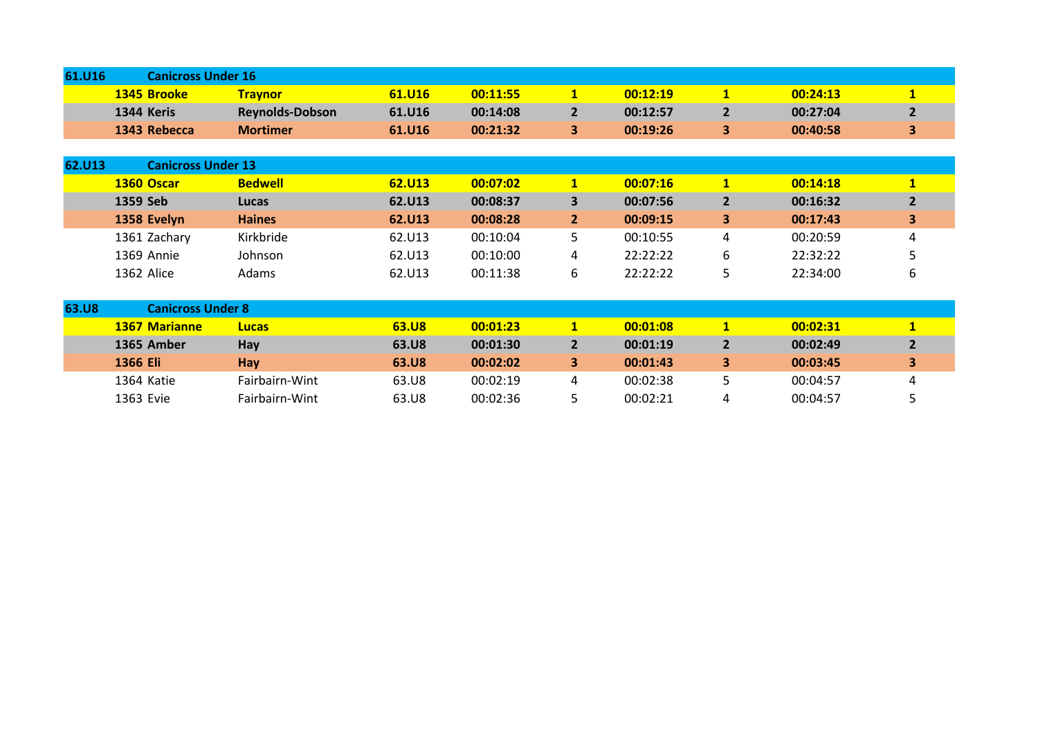| 61.U16 |                    | <b>Canicross Under 16</b> |        |          |  |          |  |          |  |  |  |
|--------|--------------------|---------------------------|--------|----------|--|----------|--|----------|--|--|--|
|        | <b>1345 Brooke</b> | <u>Fravnori</u>           | 61.U16 | 00:11:55 |  | 00:12:19 |  | 00:24:13 |  |  |  |
|        | 1344 Keris         | <b>Reynolds-Dobson</b>    | 61.U16 | 00:14:08 |  | 00:12:57 |  | 00:27:04 |  |  |  |
|        | 1343 Rebecca       | <b>Mortimer</b>           | 61.U16 | 00:21:32 |  | 00:19:26 |  | 00:40:58 |  |  |  |

| 62.U13       | <b>Canicross Under 13</b> |                |        |          |                |          |                |          |                |  |
|--------------|---------------------------|----------------|--------|----------|----------------|----------|----------------|----------|----------------|--|
|              | 1360 Oscar                | <b>Bedwell</b> | 62.U13 | 00:07:02 | $\mathbf{1}$   | 00:07:16 | $\mathbf{1}$   | 00:14:18 | $\mathbf{1}$   |  |
|              | 1359 Seb                  | Lucas          | 62.U13 | 00:08:37 | 3              | 00:07:56 | $\overline{2}$ | 00:16:32 | $\overline{2}$ |  |
|              | 1358 Evelyn               | <b>Haines</b>  | 62.U13 | 00:08:28 | $\overline{2}$ | 00:09:15 | 3              | 00:17:43 | 3              |  |
|              | 1361 Zachary              | Kirkbride      | 62.U13 | 00:10:04 | 5              | 00:10:55 | 4              | 00:20:59 | 4              |  |
|              | 1369 Annie                | Johnson        | 62.U13 | 00:10:00 | 4              | 22:22:22 | 6              | 22:32:22 | כ              |  |
|              | 1362 Alice                | Adams          | 62.U13 | 00:11:38 | 6              | 22:22:22 | 5              | 22:34:00 | 6              |  |
|              |                           |                |        |          |                |          |                |          |                |  |
| <b>63.U8</b> | <b>Canicross Under 8</b>  |                |        |          |                |          |                |          |                |  |
|              | <b>1367 Marianne</b>      | <b>Lucas</b>   | 63.U8  | 00:01:23 | $\mathbf{1}$   | 00:01:08 | $\mathbf{1}$   | 00:02:31 | $\mathbf{1}$   |  |
|              | 1365 Amber                | Hay            | 63.U8  | 00:01:30 | $\overline{2}$ | 00:01:19 | $\overline{2}$ | 00:02:49 | $\overline{2}$ |  |
|              | 1366 Eli                  | Hay            | 63.U8  | 00:02:02 | 3              | 00:01:43 | 3              | 00:03:45 | 3              |  |

 Katie Fairbairn-Wint 63.U8 00:02:19 4 00:02:38 5 00:04:57 4 1363 Evie Fairbairn-Wint 63.U8 00:02:36 5 00:02:21 4 00:04:57 5